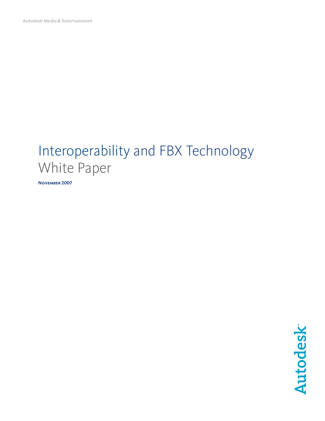**Autodesk Media & Entertainment** 

# Interoperability and FBX Technology White Paper

**November 2007**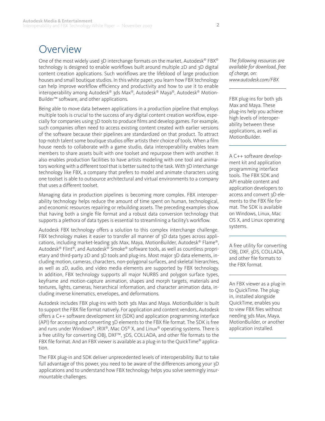### Overview

One of the most widely used 3D interchange formats on the market, Autodesk® FBX® technology is designed to enable workflows built around multiple 2D and 3D digital content creation applications. Such workflows are the lifeblood of large production houses and small boutique studios. In this white paper, you learn how FBX technology can help improve workflow efficiency and productivity and how to use it to enable interoperability among Autodesk® 3ds Max®, Autodesk® Maya®, Autodesk® Motion-Builder™ software, and other applications.

Being able to move data between applications in a production pipeline that employs multiple tools is crucial to the success of any digital content creation workflow, especially for companies using 3D tools to produce films and develop games. For example, such companies often need to access existing content created with earlier versions of the software because their pipelines are standardized on that product. To attract top-notch talent some boutique studios offer artists their choice of tools. When a film house needs to collaborate with a game studio, data interoperability enables team members to share assets built with one toolset and repurpose them with another. It also enables production facilities to have artists modeling with one tool and animators working with a different tool that is better suited to the task. With 3D interchange technology like FBX, a company that prefers to model and animate characters using one toolset is able to outsource architectural and virtual environments to a company that uses a different toolset.

Managing data in production pipelines is becoming more complex. FBX interoperability technology helps reduce the amount of time spent on human, technological, and economic resources repairing or rebuilding assets. The preceding examples show that having both a single file format and a robust data conversion technology that supports a plethora of data types is essential to streamlining a facility's workflow.

Autodesk FBX technology offers a solution to this complex interchange challenge. FBX technology makes it easier to transfer all manner of 3D data types across applications, including market-leading 3ds Max, Maya, MotionBuilder, Autodesk® Flame®, Autodesk® Flint®, and Autodesk® Smoke® software tools, as well as countless proprietary and third-party 2D and 3D tools and plug-ins. Most major 3D data elements, including motion, cameras, characters, non-polygonal surfaces, and skeletal hierarchies, as well as 2D, audio, and video media elements are supported by FBX technology. In addition, FBX technology supports all major NURBS and polygon surface types, keyframe and motion-capture animation, shapes and morph targets, materials and textures, lights, cameras, hierarchical information, and character animation data, including inverse kinematics, envelopes, and deformations.

Autodesk includes FBX plug-ins with both 3ds Max and Maya. MotionBuilder is built to support the FBX file format natively. For application and content vendors, Autodesk offers a C++ software development kit (SDK) and application programming interface (API) for accessing and converting 3D elements to the FBX file format. The SDK is free and runs under Windows®, IRIX®, Mac OS® X, and Linux® operating systems. There is a free utility for converting OBJ, DXF™, 3DS, COLLADA, and other file formats to the FBX file format. And an FBX viewer is available as a plug-in to the QuickTime® application.

The FBX plug-in and SDK deliver unprecedented levels of interoperability. But to take full advantage of this power, you need to be aware of the differences among your 3D applications and to understand how FBX technology helps you solve seemingly insurmountable challenges.

*The following resources are available for download, free of charge, on: www.autodesk.com/FBX*

FBX plug-ins for both 3ds Max and Maya. These plug-ins help you achieve high levels of interoperability between these applications, as well as MotionBuilder.

A C++ software development kit and application programming interface tools. The FBX SDK and API enable content and application developers to access and convert 3D elements to the FBX file format. The SDK is available on Windows, Linux, Mac OS X, and Linux operating systems.

A free utility for converting OBJ, DXF, 3DS, COLLADA, and other file formats to the FBX format.

An FBX viewer as a plug-in to QuickTime. The plugin, installed alongside QuickTime, enables you to view FBX files without needing 3ds Max, Maya, MotionBuilder, or another application installed.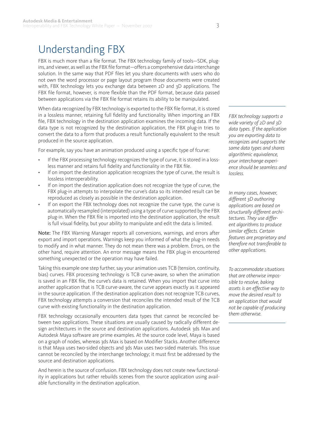### Understanding FBX

FBX is much more than a file format. The FBX technology family of tools—SDK, plugins, and viewer, as well as the FBX file format—offers a comprehensive data interchange solution. In the same way that PDF files let you share documents with users who do not own the word processor or page layout program those documents were created with, FBX technology lets you exchange data between 2D and 3D applications. The FBX file format, however, is more flexible than the PDF format, because data passed between applications via the FBX file format retains its ability to be manipulated.

When data recognized by FBX technology is exported to the FBX file format, it is stored in a lossless manner, retaining full fidelity and functionality. When importing an FBX file, FBX technology in the destination application examines the incoming data. If the data type is not recognized by the destination application, the FBX plug-in tries to convert the data to a form that produces a result functionally equivalent to the result produced in the source application.

For example, say you have an animation produced using a specific type of fcurve:

- If the FBX processing technology recognizes the type of curve, it is stored in a lossless manner and retains full fidelity and functionality in the FBX file. •
- If on import the destination application recognizes the type of curve, the result is lossless interoperability. •
- If on import the destination application does not recognize the type of curve, the FBX plug-in attempts to interpolate the curve's data so its intended result can be reproduced as closely as possible in the destination application. •
- If on export the FBX technology does not recognize the curve type, the curve is automatically resampled (interpolated) using a type of curve supported by the FBX plug-in. When the FBX file is imported into the destination application, the result is full visual fidelity, but your ability to manipulate and edit the data is limited. •

Note: The FBX Warning Manager reports all conversions, warnings, and errors after export and import operations. Warnings keep you informed of what the plug-in needs to modify and in what manner. They do not mean there was a problem. Errors, on the other hand, require attention. An error message means the FBX plug-in encountered something unexpected or the operation may have failed.

Taking this example one step further, say your animation uses TCB (tension, continuity, bias) curves. FBX processing technology is TCB curve-aware, so when the animation is saved in an FBX file, the curve's data is retained. When you import that curve into another application that is TCB curve-aware, the curve appears exactly as it appeared in the source application. If the destination application does not recognize TCB curves, FBX technology attempts a conversion that reconciles the intended result of the TCB curve with existing functionality in the destination application.

FBX technology occasionally encounters data types that cannot be reconciled between two applications. These situations are usually caused by radically different design architectures in the source and destination applications. Autodesk 3ds Max and Autodesk Maya software are prime examples. At the source code level, Maya is based on a graph of nodes, whereas 3ds Max is based on Modifier Stacks. Another difference is that Maya uses two-sided objects and 3ds Max uses two-sided materials. This issue cannot be reconciled by the interchange technology; it must first be addressed by the source and destination applications.

And herein is the source of confusion. FBX technology does not create new functionality in applications but rather rebuilds scenes from the source application using available functionality in the destination application.

*FBX technology supports a wide variety of 2D and 3D data types. If the application you are exporting data to recognizes and supports the same data types and shares algorithmic equivalence, your interchange experience should be seamless and lossless.* 

*In many cases, however, different 3D authoring applications are based on structurally different architectures. They use different algorithms to produce similar effects. Certain features are proprietary and therefore not transferable to other applications.*

*To accommodate situations that are otherwise impossible to resolve, baking assets is an effective way to move the desired result to an application that would not be capable of producing them otherwise.*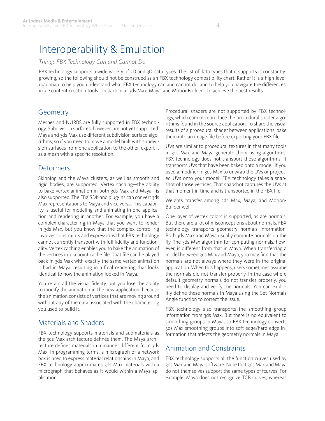### Interoperability & Emulation

#### *Things FBX Technology Can and Cannot Do*

FBX technology supports a wide variety of 2D and 3D data types. The list of data types that it supports is constantly growing, so the following should not be construed as an FBX technology compatibility chart. Rather it is a high-level road map to help you understand what FBX technology can and cannot do, and to help you navigate the differences in 3D content creation tools—in particular 3ds Max, Maya, and MotionBuilder—to achieve the best results.

### **Geometry**

Meshes and NURBS are fully supported in FBX technology. Subdivision surfaces, however, are not yet supported. Maya and 3ds Max use different subdivision surface algorithms, so if you need to move a model built with subdivision surfaces from one application to the other, export it as a mesh with a specific resolution.

#### Deformers

Skinning and the Maya clusters, as well as smooth and rigid bodies, are supported. Vertex caching—the ability to bake vertex animation in both 3ds Max and Maya—is also supported. The FBX SDK and plug-ins can convert 3ds Max representations to Maya and vice versa. This capability is useful for modeling and animating in one application and rendering in another. For example, you have a complex character rig in Maya that you want to render in 3ds Max, but you know that the complex control rig involves constraints and expressions that FBX technology cannot currently transport with full fidelity and functionality. Vertex caching enables you to bake the animation of the vertices into a point cache file. That file can be played back in 3ds Max with exactly the same vertex animation it had in Maya, resulting in a final rendering that looks identical to how the animation looked in Maya.

You retain all the visual fidelity, but you lose the ability to modify the animation in the new application, because the animation consists of vertices that are moving around without any of the data associated with the character rig you used to build it.

### Materials and Shaders

FBX technology supports materials and submaterials as the 3ds Max architecture defines them. The Maya architecture defines materials in a manner different from 3ds Max. In programming terms, a micrograph of a network box is used to express material relationships in Maya, and FBX technology approximates 3ds Max materials with a micrograph that behaves as it would within a Maya application.

Procedural shaders are not supported by FBX technology, which cannot reproduce the procedural shader algorithms found in the source application. To share the visual results of a procedural shader between applications, bake them into an image file before exporting your FBX file.

UVs are similar to procedural textures in that many tools in 3ds Max and Maya generate them using algorithms. FBX technology does not transport those algorithms. It transports UVs that have been baked onto a model. If you used a modifier in 3ds Max to unwrap the UVs or projected UVs onto your model, FBX technology takes a snapshot of those vertices. That snapshot captures the UVs at that moment in time and is transported in the FBX file.

Weights transfer among 3ds Max, Maya, and Motion-Builder well.

One layer of vertex colors is supported, as are normals. But there are a lot of misconceptions about normals. FBX technology transports geometry normals information. Both 3ds Max and Maya usually compute normals on the fly. The 3ds Max algorithm for computing normals, however, is different from that in Maya. When transferring a model between 3ds Max and Maya, you may find that the normals are not always where they were in the original application. When this happens, users sometimes assume the normals did not transfer properly. In the case where default geometry normals do not transfer properly, you need to display and verify the normals. You can explicitly define these normals in Maya using the Set Normals Angle function to correct the issue.

FBX technology also transports the smoothing group information from 3ds Max. But there is no equivalent to smoothing groups in Maya, so FBX technology converts 3ds Max smoothing groups into soft edge/hard edge information that affects the geometry normals in Maya.

#### Animation and Constraints

FBX technology supports all the function curves used by 3ds Max and Maya software. Note that 3ds Max and Maya do not themselves support the same types of fcurves. For example, Maya does not recognize TCB curves, whereas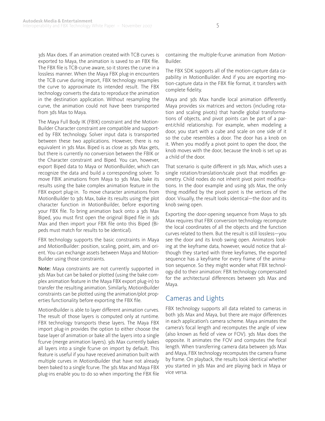3ds Max does. If an animation created with TCB curves is exported to Maya, the animation is saved to an FBX file. The FBX file is TCB-curve aware, so it stores the curve in a lossless manner. When the Maya FBX plug-in encounters the TCB curve during import, FBX technology resamples the curve to approximate its intended result. The FBX technology converts the data to reproduce the animation in the destination application. Without resampling the curve, the animation could not have been transported from 3ds Max to Maya.

The Maya Full Body IK (FBIK) constraint and the Motion-Builder Character constraint are compatible and supported by FBX technology. Solver input data is transported between these two applications. However, there is no equivalent in 3ds Max. Biped is as close as 3ds Max gets, but there is currently no conversion between the FBIK or the Character constraint and Biped. You can, however, export Biped data to Maya or MotionBuilder, which can recognize the data and build a corresponding solver. To move FBIK animations from Maya to 3ds Max, bake its results using the bake complex animation feature in the FBX export plug-in. To move character animations from MotionBuilder to 3ds Max, bake its results using the plot character function in MotionBuilder, before exporting your FBX file. To bring animation back onto a 3ds Max Biped, you must first open the original Biped file in 3ds Max and then import your FBX file onto this Biped (Bipeds must match for results to be identical).

FBX technology supports the basic constraints in Maya and MotionBuilder: position, scaling, point, aim, and orient. You can exchange assets between Maya and Motion-Builder using those constraints.

Note: Maya constraints are not currently supported in 3ds Max but can be baked or plotted (using the bake complex animation feature in the Maya FBX export plug-in) to transfer the resulting animation. Similarly, MotionBuilder constraints can be plotted using the animation/plot properties functionality before exporting the FBX file.

MotionBuilder is able to layer different animation curves. The result of those layers is computed only at runtime. FBX technology transports these layers. The Maya FBX import plug-in provides the option to either choose the base layer of animation or bake all the layers into a single fcurve (merge animation layers). 3ds Max currently bakes all layers into a single fcurve on import by default. This feature is useful if you have received animation built with multiple curves in MotionBuilder that have not already been baked to a single fcurve. The 3ds Max and Maya FBX plug-ins enable you to do so when importing the FBX file

containing the multiple-fcurve animation from Motion-Builder.

The FBX SDK supports all of the motion-capture data capability in MotionBuilder. And if you are exporting motion-capture data in the FBX file format, it transfers with complete fidelity.

Maya and 3ds Max handle local animation differently. Maya provides six matrices and vectors (including rotation and scaling pivots) that handle global transformations of objects, and pivot points can be part of a parent/child relationship. For example, when modeling a door, you start with a cube and scale on one side of it so the cube resembles a door. The door has a knob on it. When you modify a pivot point to open the door, the knob moves with the door, because the knob is set up as a child of the door.

That scenario is quite different in 3ds Max, which uses a single rotation/translation/scale pivot that modifies geometry. Child nodes do not inherit pivot point modifications. In the door example and using 3ds Max, the only thing modified by the pivot point is the vertices of the door. Visually, the result looks identical—the door and its knob swing open.

Exporting the door-opening sequence from Maya to 3ds Max requires that FBX conversion technology recompute the local coordinates of all the objects and the function curves related to them. But the result is still lossless—you see the door and its knob swing open. Animators looking at the keyframe data, however, would notice that although they started with three keyframes, the exported sequence has a keyframe for every frame of the animation sequence. So they might wonder what FBX technology did to their animation: FBX technology compensated for the architectural differences between 3ds Max and Maya.

#### Cameras and Lights

FBX technology supports all data related to cameras in both 3ds Max and Maya, but there are major differences in each application's camera scheme. Maya animates the camera's focal length and recomputes the angle of view (also known as field of view or FOV). 3ds Max does the opposite. It animates the FOV and computes the focal length. When transferring camera data between 3ds Max and Maya, FBX technology recomputes the camera frame by frame. On playback, the results look identical whether you started in 3ds Max and are playing back in Maya or vice versa.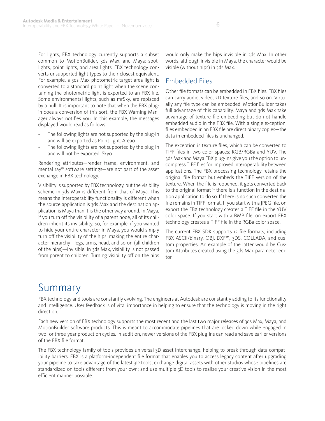For lights, FBX technology currently supports a subset common to MotionBuilder, 3ds Max, and Maya: spotlights, point lights, and area lights. FBX technology converts unsupported light types to their closest equivalent. For example, a 3ds Max photometric target area light is converted to a standard point light when the scene containing the photometric light is exported to an FBX file. Some environmental lights, such as mrSky, are replaced by a null. It is important to note that when the FBX plugin does a conversion of this sort, the FBX Warning Manager always notifies you. In this example, the messages displayed would read as follows:

- The following lights are not supported by the plug-in and will be exported as Point light: Area01. •
- The following lights are not supported by the plug-in and will not be exported: Sky01. •

Rendering attributes—render frame, environment, and mental ray® software settings—are not part of the asset exchange in FBX technology.

Visibility is supported by FBX technology, but the visibility scheme in 3ds Max is different from that of Maya. This means the interoperability functionality is different when the source application is 3ds Max and the destination application is Maya than it is the other way around. In Maya, if you turn off the visibility of a parent node, all of its children inherit its invisibility. So, for example, if you wanted to hide your entire character in Maya, you would simply turn off the visibility of the hips, making the entire character hierarchy—legs, arms, head, and so on (all children of the hips)—invisible. In 3ds Max, visibility is not passed from parent to children. Turning visibility off on the hips would only make the hips invisible in 3ds Max. In other words, although invisible in Maya, the character would be visible (without hips) in 3ds Max.

#### Embedded Files

Other file formats can be embedded in FBX files. FBX files can carry audio, video, 2D texture files, and so on. Virtually any file type can be embedded. MotionBuilder takes full advantage of this capability. Maya and 3ds Max take advantage of texture file embedding but do not handle embedded audio in the FBX file. With a single exception, files embedded in an FBX file are direct binary copies—the data in embedded files is unchanged.

The exception is texture files, which can be converted to TIFF files in two color spaces: RGB/RGBa and YUV. The 3ds Max and Maya FBX plug-ins give you the option to uncompress TIFF files for improved interoperability between applications. The FBX processing technology retains the original file format but embeds the TIFF version of the texture. When the file is reopened, it gets converted back to the original format if there is a function in the destination application to do so. If there is no such converter, the file remains in TIFF format. If you start with a JPEG file, on export the FBX technology creates a TIFF file in the YUV color space. If you start with a BMP file, on export FBX technology creates a TIFF file in the RGBa color space.

The current FBX SDK supports 12 file formats, including FBX ASCII/binary, OBJ, DXF™, 3DS, COLLADA, and custom properties. An example of the latter would be Custom Attributes created using the 3ds Max parameter editor.

### Summary

FBX technology and tools are constantly evolving. The engineers at Autodesk are constantly adding to its functionality and intelligence. User feedback is of vital importance in helping to ensure that the technology is moving in the right direction.

Each new version of FBX technology supports the most recent and the last two major releases of 3ds Max, Maya, and MotionBuilder software products. This is meant to accommodate pipelines that are locked down while engaged in two- or three-year production cycles. In addition, newer versions of the FBX plug-ins can read and save earlier versions of the FBX file format.

The FBX technology family of tools provides universal 3D asset interchange, helping to break through data compatibility barriers. FBX is a platform-independent file format that enables you to access legacy content after upgrading your pipeline to take advantage of the latest 3D tools; exchange digital assets with other studios whose pipelines are standardized on tools different from your own; and use multiple 3D tools to realize your creative vision in the most efficient manner possible.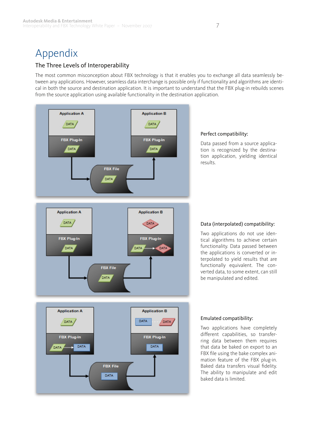## Appendix

#### The Three Levels of Interoperability

The most common misconception about FBX technology is that it enables you to exchange all data seamlessly between any applications. However, seamless data interchange is possible only if functionality and algorithms are identical in both the source and destination application. It is important to understand that the FBX plug-in rebuilds scenes from the source application using available functionality in the destination application.